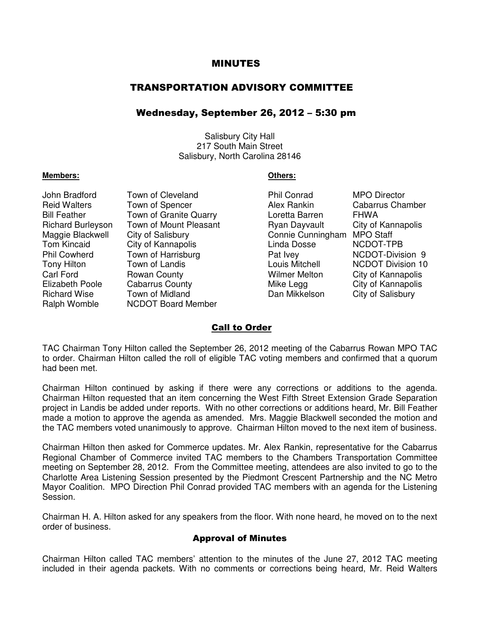### MINUTES

## TRANSPORTATION ADVISORY COMMITTEE

### Wednesday, September 26, 2012 – 5:30 pm

Salisbury City Hall 217 South Main Street Salisbury, North Carolina 28146

#### **Members: Others:**

John Bradford Town of Cleveland Phil Conrad MPO Director Reid Walters Town of Spencer The Alex Rankin Cabarrus Chamber Bill Feather Town of Granite Quarry **Loretta Barren** FHWA Richard Burleyson Town of Mount Pleasant Ryan Dayvault City of Kannapolis Maggie Blackwell City of Salisbury Connie Cunningham MPO Staff Tom Kincaid City of Kannapolis Linda Dosse NCDOT-TPB Phil Cowherd Town of Harrisburg **Pat Ivey** Pat Ivey NCDOT-Division 9<br>Tony Hilton Town of Landis **Part Information** Louis Mitchell NCDOT Division 10 Tony Hilton Town of Landis Louis Mitchell NCDOT Division 10 Carl Ford Ford Rowan County **Carl Access County** Milmer Melton City of Kannapolis<br>Elizabeth Poole Cabarrus County **City Access Mike Legg** City of Kannapolis Richard Wise Town of Midland Dan Mikkelson City of Salisbury Ralph Womble NCDOT Board Member

City of Kannapolis

### Call to Order

TAC Chairman Tony Hilton called the September 26, 2012 meeting of the Cabarrus Rowan MPO TAC to order. Chairman Hilton called the roll of eligible TAC voting members and confirmed that a quorum had been met.

Chairman Hilton continued by asking if there were any corrections or additions to the agenda. Chairman Hilton requested that an item concerning the West Fifth Street Extension Grade Separation project in Landis be added under reports. With no other corrections or additions heard, Mr. Bill Feather made a motion to approve the agenda as amended. Mrs. Maggie Blackwell seconded the motion and the TAC members voted unanimously to approve. Chairman Hilton moved to the next item of business.

Chairman Hilton then asked for Commerce updates. Mr. Alex Rankin, representative for the Cabarrus Regional Chamber of Commerce invited TAC members to the Chambers Transportation Committee meeting on September 28, 2012. From the Committee meeting, attendees are also invited to go to the Charlotte Area Listening Session presented by the Piedmont Crescent Partnership and the NC Metro Mayor Coalition. MPO Direction Phil Conrad provided TAC members with an agenda for the Listening Session.

Chairman H. A. Hilton asked for any speakers from the floor. With none heard, he moved on to the next order of business.

#### Approval of Minutes

Chairman Hilton called TAC members' attention to the minutes of the June 27, 2012 TAC meeting included in their agenda packets. With no comments or corrections being heard, Mr. Reid Walters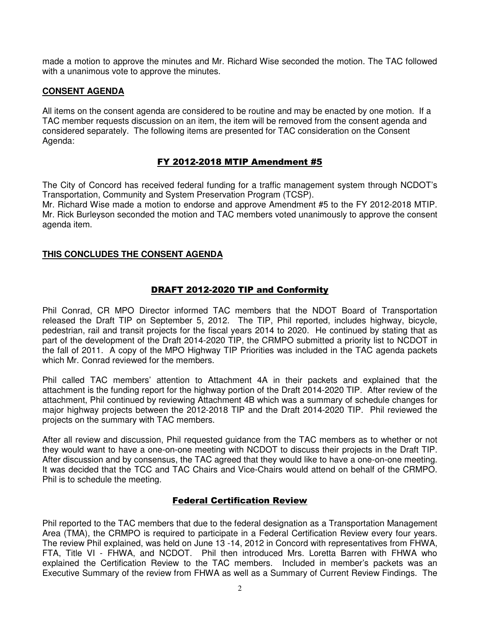made a motion to approve the minutes and Mr. Richard Wise seconded the motion. The TAC followed with a unanimous vote to approve the minutes.

### **CONSENT AGENDA**

All items on the consent agenda are considered to be routine and may be enacted by one motion. If a TAC member requests discussion on an item, the item will be removed from the consent agenda and considered separately. The following items are presented for TAC consideration on the Consent Agenda:

# FY 2012-2018 MTIP Amendment #5

The City of Concord has received federal funding for a traffic management system through NCDOT's Transportation, Community and System Preservation Program (TCSP). Mr. Richard Wise made a motion to endorse and approve Amendment #5 to the FY 2012-2018 MTIP.

Mr. Rick Burleyson seconded the motion and TAC members voted unanimously to approve the consent agenda item.

### **THIS CONCLUDES THE CONSENT AGENDA**

### DRAFT 2012-2020 TIP and Conformity

Phil Conrad, CR MPO Director informed TAC members that the NDOT Board of Transportation released the Draft TIP on September 5, 2012. The TIP, Phil reported, includes highway, bicycle, pedestrian, rail and transit projects for the fiscal years 2014 to 2020. He continued by stating that as part of the development of the Draft 2014-2020 TIP, the CRMPO submitted a priority list to NCDOT in the fall of 2011. A copy of the MPO Highway TIP Priorities was included in the TAC agenda packets which Mr. Conrad reviewed for the members.

Phil called TAC members' attention to Attachment 4A in their packets and explained that the attachment is the funding report for the highway portion of the Draft 2014-2020 TIP. After review of the attachment, Phil continued by reviewing Attachment 4B which was a summary of schedule changes for major highway projects between the 2012-2018 TIP and the Draft 2014-2020 TIP. Phil reviewed the projects on the summary with TAC members.

After all review and discussion, Phil requested guidance from the TAC members as to whether or not they would want to have a one-on-one meeting with NCDOT to discuss their projects in the Draft TIP. After discussion and by consensus, the TAC agreed that they would like to have a one-on-one meeting. It was decided that the TCC and TAC Chairs and Vice-Chairs would attend on behalf of the CRMPO. Phil is to schedule the meeting.

# Federal Certification Review

Phil reported to the TAC members that due to the federal designation as a Transportation Management Area (TMA), the CRMPO is required to participate in a Federal Certification Review every four years. The review Phil explained, was held on June 13 -14, 2012 in Concord with representatives from FHWA, FTA, Title VI - FHWA, and NCDOT. Phil then introduced Mrs. Loretta Barren with FHWA who explained the Certification Review to the TAC members. Included in member's packets was an Executive Summary of the review from FHWA as well as a Summary of Current Review Findings. The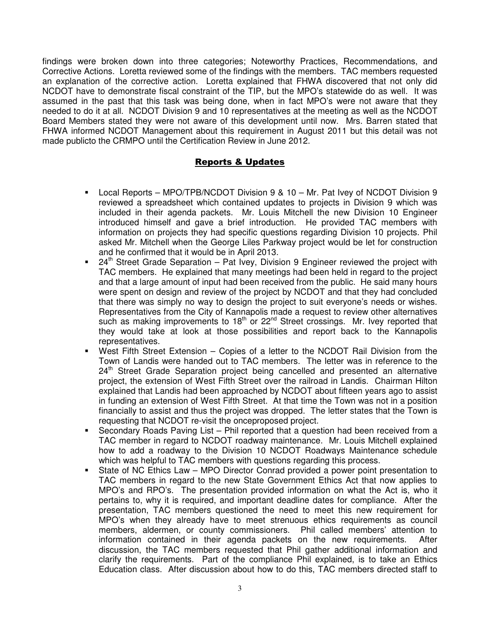findings were broken down into three categories; Noteworthy Practices, Recommendations, and Corrective Actions. Loretta reviewed some of the findings with the members. TAC members requested an explanation of the corrective action. Loretta explained that FHWA discovered that not only did NCDOT have to demonstrate fiscal constraint of the TIP, but the MPO's statewide do as well. It was assumed in the past that this task was being done, when in fact MPO's were not aware that they needed to do it at all. NCDOT Division 9 and 10 representatives at the meeting as well as the NCDOT Board Members stated they were not aware of this development until now. Mrs. Barren stated that FHWA informed NCDOT Management about this requirement in August 2011 but this detail was not made publicto the CRMPO until the Certification Review in June 2012.

# Reports & Updates

- Local Reports MPO/TPB/NCDOT Division 9 & 10 Mr. Pat Ivey of NCDOT Division 9 reviewed a spreadsheet which contained updates to projects in Division 9 which was included in their agenda packets. Mr. Louis Mitchell the new Division 10 Engineer introduced himself and gave a brief introduction. He provided TAC members with information on projects they had specific questions regarding Division 10 projects. Phil asked Mr. Mitchell when the George Liles Parkway project would be let for construction and he confirmed that it would be in April 2013.
- $\blacksquare$  24<sup>th</sup> Street Grade Separation Pat Ivey, Division 9 Engineer reviewed the project with TAC members. He explained that many meetings had been held in regard to the project and that a large amount of input had been received from the public. He said many hours were spent on design and review of the project by NCDOT and that they had concluded that there was simply no way to design the project to suit everyone's needs or wishes. Representatives from the City of Kannapolis made a request to review other alternatives such as making improvements to  $18<sup>th</sup>$  or  $22<sup>nd</sup>$  Street crossings. Mr. Ivey reported that they would take at look at those possibilities and report back to the Kannapolis representatives.
- West Fifth Street Extension Copies of a letter to the NCDOT Rail Division from the Town of Landis were handed out to TAC members. The letter was in reference to the 24<sup>th</sup> Street Grade Separation project being cancelled and presented an alternative project, the extension of West Fifth Street over the railroad in Landis. Chairman Hilton explained that Landis had been approached by NCDOT about fifteen years ago to assist in funding an extension of West Fifth Street. At that time the Town was not in a position financially to assist and thus the project was dropped. The letter states that the Town is requesting that NCDOT re-visit the onceproposed project.
- Secondary Roads Paving List Phil reported that a question had been received from a TAC member in regard to NCDOT roadway maintenance. Mr. Louis Mitchell explained how to add a roadway to the Division 10 NCDOT Roadways Maintenance schedule which was helpful to TAC members with questions regarding this process.
- State of NC Ethics Law MPO Director Conrad provided a power point presentation to TAC members in regard to the new State Government Ethics Act that now applies to MPO's and RPO's. The presentation provided information on what the Act is, who it pertains to, why it is required, and important deadline dates for compliance. After the presentation, TAC members questioned the need to meet this new requirement for MPO's when they already have to meet strenuous ethics requirements as council members, aldermen, or county commissioners. Phil called members' attention to information contained in their agenda packets on the new requirements. After discussion, the TAC members requested that Phil gather additional information and clarify the requirements. Part of the compliance Phil explained, is to take an Ethics Education class. After discussion about how to do this, TAC members directed staff to